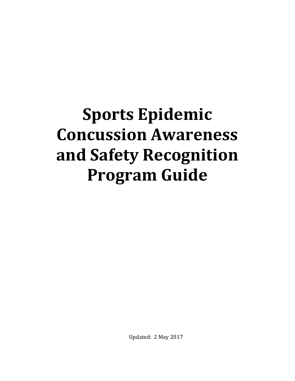# **Sports Epidemic Concussion Awareness and Safety Recognition Program Guide**

Updated: 2 May 2017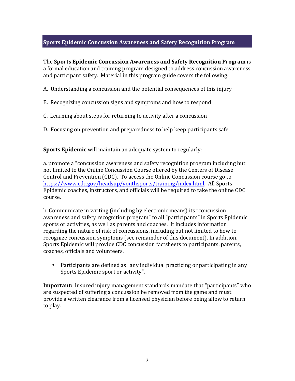## **Sports Epidemic Concussion Awareness and Safety Recognition Program**

**The Sports Epidemic Concussion Awareness and Safety Recognition Program** is a formal education and training program designed to address concussion awareness and participant safety. Material in this program guide covers the following:

A. Understanding a concussion and the potential consequences of this injury

- B. Recognizing concussion signs and symptoms and how to respond
- C. Learning about steps for returning to activity after a concussion
- D. Focusing on prevention and preparedness to help keep participants safe

**Sports Epidemic** will maintain an adequate system to regularly:

a. promote a "concussion awareness and safety recognition program including but not limited to the Online Concussion Course offered by the Centers of Disease Control and Prevention (CDC). To access the Online Concussion course go to https://www.cdc.gov/headsup/youthsports/training/index.html. All Sports Epidemic coaches, instructors, and officials will be required to take the online CDC course. 

b. Communicate in writing (including by electronic means) its "concussion awareness and safety recognition program" to all "participants" in Sports Epidemic sports or activities, as well as parents and coaches. It includes information regarding the nature of risk of concussions, including but not limited to how to recognize concussion symptoms (see remainder of this document). In addition, Sports Epidemic will provide CDC concussion factsheets to participants, parents, coaches, officials and volunteers. 

• Participants are defined as "any individual practicing or participating in any Sports Epidemic sport or activity".

**Important:** Insured injury management standards mandate that "participants" who are suspected of suffering a concussion be removed from the game and must provide a written clearance from a licensed physician before being allow to return to play.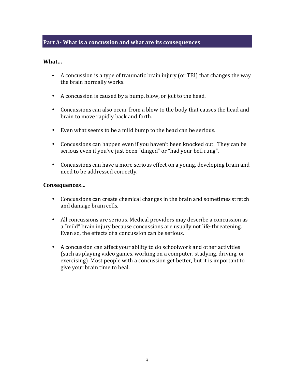#### **Part A-** What is a concussion and what are its consequences

#### **What…**

- A concussion is a type of traumatic brain injury (or TBI) that changes the way the brain normally works.
- A concussion is caused by a bump, blow, or jolt to the head.
- Concussions can also occur from a blow to the body that causes the head and brain to move rapidly back and forth.
- Even what seems to be a mild bump to the head can be serious.
- Concussions can happen even if you haven't been knocked out. They can be serious even if you've just been "dinged" or "had your bell rung".
- Concussions can have a more serious effect on a young, developing brain and need to be addressed correctly.

#### **Consequences…**

- Concussions can create chemical changes in the brain and sometimes stretch and damage brain cells.
- All concussions are serious. Medical providers may describe a concussion as a "mild" brain injury because concussions are usually not life-threatening. Even so, the effects of a concussion can be serious.
- A concussion can affect your ability to do schoolwork and other activities (such as playing video games, working on a computer, studying, driving, or exercising). Most people with a concussion get better, but it is important to give your brain time to heal.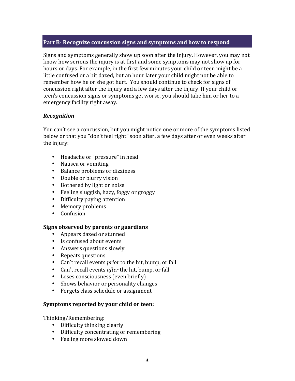#### **Part B- Recognize concussion signs and symptoms and how to respond**

Signs and symptoms generally show up soon after the injury. However, you may not know how serious the injury is at first and some symptoms may not show up for hours or days. For example, in the first few minutes your child or teen might be a little confused or a bit dazed, but an hour later your child might not be able to remember how he or she got hurt. You should continue to check for signs of concussion right after the injury and a few days after the injury. If your child or teen's concussion signs or symptoms get worse, you should take him or her to a emergency facility right away.

## *Recognition*

You can't see a concussion, but you might notice one or more of the symptoms listed below or that you "don't feel right" soon after, a few days after or even weeks after the injury:

- Headache or "pressure" in head
- Nausea or vomiting
- Balance problems or dizziness
- Double or blurry vision
- Bothered by light or noise
- Feeling sluggish, hazy, foggy or groggy
- Difficulty paying attention
- Memory problems
- Confusion

#### **Signs observed by parents or guardians**

- Appears dazed or stunned
- Is confused about events
- Answers questions slowly
- Repeats questions
- Can't recall events *prior* to the hit, bump, or fall
- Can't recall events *after* the hit, bump, or fall
- Loses consciousness (even briefly)
- Shows behavior or personality changes
- Forgets class schedule or assignment

#### Symptoms reported by your child or teen:

Thinking/Remembering:

- Difficulty thinking clearly
- Difficulty concentrating or remembering
- Feeling more slowed down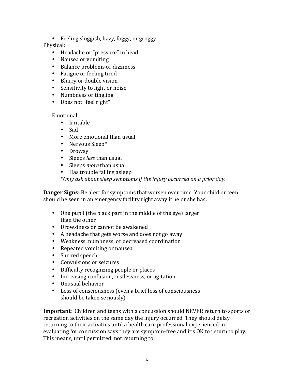• Feeling sluggish, hazy, foggy, or groggy Physical: 

- Headache or "pressure" in head
- Nausea or vomiting
- Balance problems or dizziness
- Fatigue or feeling tired
- Blurry or double vision
- Sensitivity to light or noise
- Numbness or tingling
- Does not "feel right"

Emotional:

- Irritable
- Sad
- More emotional than usual
- Nervous Sleep\*
- Drowsy
- Sleeps *less* than usual
- Sleeps *more* than usual
- $\bullet$  Has trouble falling asleep

*\*Only ask about sleep symptoms if the injury occurred on a prior day.*

**Danger Signs**- Be alert for symptoms that worsen over time. Your child or teen should be seen in an emergency facility right away if he or she has:

- One pupil (the black part in the middle of the eye) larger than the other
- Drowsiness or cannot be awakened
- A headache that gets worse and does not go away
- Weakness, numbness, or decreased coordination
- Repeated vomiting or nausea
- Slurred speech
- Convulsions or seizures
- Difficulty recognizing people or places
- Increasing confusion, restlessness, or agitation
- Unusual behavior
- Loss of consciousness (even a brief loss of consciousness should be taken seriously)

**Important**: Children and teens with a concussion should NEVER return to sports or recreation activities on the same day the injury occurred. They should delay returning to their activities until a health care professional experienced in evaluating for concussion says they are symptom-free and it's OK to return to play. This means, until permitted, not returning to: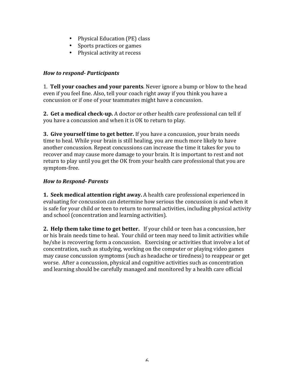- Physical Education (PE) class
- Sports practices or games
- Physical activity at recess

#### *How to respond- Participants*

1. **Tell your coaches and your parents**. Never ignore a bump or blow to the head even if you feel fine. Also, tell your coach right away if you think you have a concussion or if one of your teammates might have a concussion.

**2.** Get a medical check-up. A doctor or other health care professional can tell if you have a concussion and when it is OK to return to play.

**3. Give yourself time to get better.** If you have a concussion, your brain needs time to heal. While your brain is still healing, you are much more likely to have another concussion. Repeat concussions can increase the time it takes for you to recover and may cause more damage to your brain. It is important to rest and not return to play until you get the OK from your health care professional that you are symptom-free.

#### *How to Respond- Parents*

**1. Seek medical attention right away.** A health care professional experienced in evaluating for concussion can determine how serious the concussion is and when it is safe for your child or teen to return to normal activities, including physical activity and school (concentration and learning activities).

**2. Help them take time to get better.** If your child or teen has a concussion, her or his brain needs time to heal. Your child or teen may need to limit activities while he/she is recovering form a concussion. Exercising or activities that involve a lot of concentration, such as studying, working on the computer or playing video games may cause concussion symptoms (such as headache or tiredness) to reappear or get worse. After a concussion, physical and cognitive activities such as concentration and learning should be carefully managed and monitored by a health care official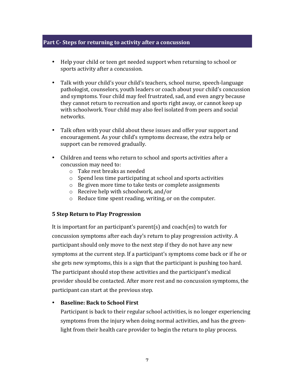#### **Part C- Steps for returning to activity after a concussion**

- Help your child or teen get needed support when returning to school or sports activity after a concussion.
- Talk with your child's your child's teachers, school nurse, speech-language pathologist, counselors, youth leaders or coach about your child's concussion and symptoms. Your child may feel frustrated, sad, and even angry because they cannot return to recreation and sports right away, or cannot keep up with schoolwork. Your child may also feel isolated from peers and social networks.
- Talk often with your child about these issues and offer your support and encouragement. As your child's symptoms decrease, the extra help or support can be removed gradually.
- Children and teens who return to school and sports activities after a concussion may need to:
	- $\circ$  Take rest breaks as needed
	- $\circ$  Spend less time participating at school and sports activities
	- $\circ$  Be given more time to take tests or complete assignments
	- $\circ$  Receive help with schoolwork, and/or
	- $\circ$  Reduce time spent reading, writing, or on the computer.

#### **5 Step Return to Play Progression**

It is important for an participant's parent(s) and coach(es) to watch for concussion symptoms after each day's return to play progression activity. A participant should only move to the next step if they do not have any new symptoms at the current step. If a participant's symptoms come back or if he or she gets new symptoms, this is a sign that the participant is pushing too hard. The participant should stop these activities and the participant's medical provider should be contacted. After more rest and no concussion symptoms, the participant can start at the previous step.

#### • **Baseline: Back to School First**

Participant is back to their regular school activities, is no longer experiencing symptoms from the injury when doing normal activities, and has the greenlight from their health care provider to begin the return to play process.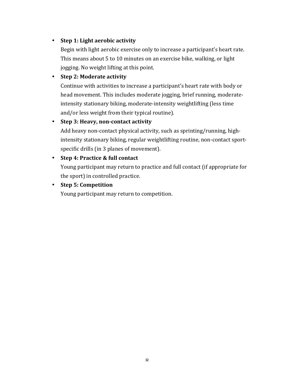# • Step 1: Light aerobic activity

Begin with light aerobic exercise only to increase a participant's heart rate. This means about 5 to 10 minutes on an exercise bike, walking, or light jogging. No weight lifting at this point.

## • **Step 2: Moderate activity**

Continue with activities to increase a participant's heart rate with body or head movement. This includes moderate jogging, brief running, moderateintensity stationary biking, moderate-intensity weightlifting (less time and/or less weight from their typical routine).

## • Step 3: Heavy, non-contact activity

Add heavy non-contact physical activity, such as sprinting/running, highintensity stationary biking, regular weightlifting routine, non-contact sportspecific drills (in 3 planes of movement).

## • **Step 4: Practice & full contact**

Young participant may return to practice and full contact (if appropriate for the sport) in controlled practice.

## • **Step 5: Competition**

Young participant may return to competition.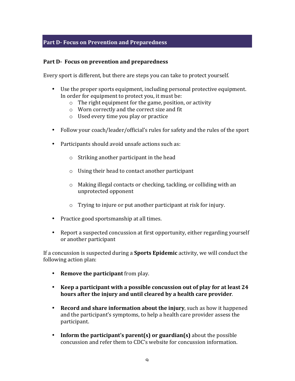## **Part D-** Focus on Prevention and Preparedness

#### Part D- Focus on prevention and preparedness

Every sport is different, but there are steps you can take to protect yourself.

- Use the proper sports equipment, including personal protective equipment. In order for equipment to protect you, it must be:
	- $\circ$  The right equipment for the game, position, or activity
	- $\circ$  Worn correctly and the correct size and fit
	- $\circ$  Used every time you play or practice
- Follow your coach/leader/official's rules for safety and the rules of the sport
- Participants should avoid unsafe actions such as:
	- $\circ$  Striking another participant in the head
	- $\circ$  Using their head to contact another participant
	- $\circ$  Making illegal contacts or checking, tackling, or colliding with an unprotected opponent
	- $\circ$  Trying to injure or put another participant at risk for injury.
- Practice good sportsmanship at all times.
- Report a suspected concussion at first opportunity, either regarding yourself or another participant

If a concussion is suspected during a **Sports Epidemic** activity, we will conduct the following action plan:

- **Remove the participant** from play.
- Keep a participant with a possible concussion out of play for at least 24 hours after the injury and until cleared by a health care provider.
- **Record and share information about the injury**, such as how it happened and the participant's symptoms, to help a health care provider assess the participant.
- Inform the participant's parent(s) or guardian(s) about the possible concussion and refer them to CDC's website for concussion information.